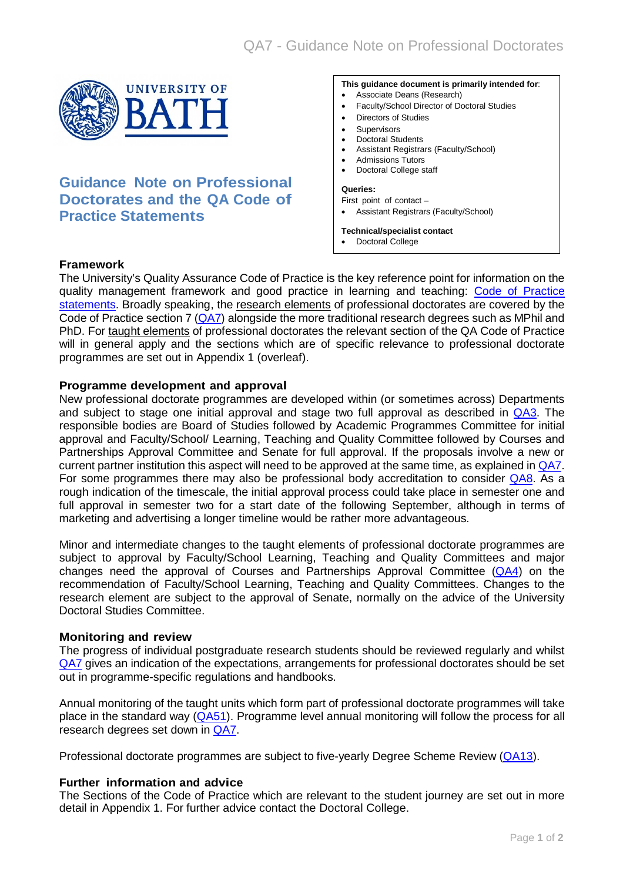

# **Guidance Note on Professional Doctorates and the QA Code of Practice Statements**

#### **This guidance document is primarily intended for**:

- Associate Deans (Research)
- Faculty/School Director of Doctoral Studies
- Directors of Studies
- **Supervisors**
- Doctoral Students
- Assistant Registrars (Faculty/School)
- Admissions Tutors
- Doctoral College staff

#### **Queries:**

First point of contact – • Assistant Registrars (Faculty/School)

#### **Technical/specialist contact**

• Doctoral College

## **Framework**

The University's Quality Assurance Code of Practice is the key reference point for information on the quality management framework and good practice in learning and teaching: [Code of Practice](http://www.bath.ac.uk/quality/cop/statements.html)  [statements.](http://www.bath.ac.uk/quality/cop/statements.html) Broadly speaking, the research elements of professional doctorates are covered by the Code of Practice section 7 [\(QA7\)](http://www.bath.ac.uk/quality/documents/QA7.pdf) alongside the more traditional research degrees such as MPhil and PhD. For taught elements of professional doctorates the relevant section of the QA Code of Practice will in general apply and the sections which are of specific relevance to professional doctorate programmes are set out in Appendix 1 (overleaf).

## **Programme development and approval**

New professional doctorate programmes are developed within (or sometimes across) Departments and subject to stage one initial approval and stage two full approval as described in [QA3.](http://www.bath.ac.uk/quality/documents/QA3.pdf) The responsible bodies are Board of Studies followed by Academic Programmes Committee for initial approval and Faculty/School/ Learning, Teaching and Quality Committee followed by Courses and Partnerships Approval Committee and Senate for full approval. If the proposals involve a new or current partner institution this aspect will need to be approved at the same time, as explained in [QA7.](http://www.bath.ac.uk/quality/documents/QA7.pdf) For some programmes there may also be professional body accreditation to consider [QA8.](http://www.bath.ac.uk/quality/documents/QA8.pdf) As a rough indication of the timescale, the initial approval process could take place in semester one and full approval in semester two for a start date of the following September, although in terms of marketing and advertising a longer timeline would be rather more advantageous.

Minor and intermediate changes to the taught elements of professional doctorate programmes are subject to approval by Faculty/School Learning, Teaching and Quality Committees and major changes need the approval of Courses and Partnerships Approval Committee  $(QAA)$  on the recommendation of Faculty/School Learning, Teaching and Quality Committees. Changes to the research element are subject to the approval of Senate, normally on the advice of the University Doctoral Studies Committee.

## **Monitoring and review**

The progress of individual postgraduate research students should be reviewed regularly and whilst [QA7](http://www.bath.ac.uk/quality/documents/QA7.pdf) gives an indication of the expectations, arrangements for professional doctorates should be set out in programme-specific regulations and handbooks.

Annual monitoring of the taught units which form part of professional doctorate programmes will take place in the standard way [\(QA51\)](http://www.bath.ac.uk/quality/documents/QA51.pdf). Programme level annual monitoring will follow the process for all research degrees set down in [QA7.](http://www.bath.ac.uk/quality/documents/QA7.pdf)

Professional doctorate programmes are subject to five-yearly Degree Scheme Review [\(QA13\)](http://www.bath.ac.uk/quality/documents/QA13.pdf).

## **Further information and advice**

The Sections of the Code of Practice which are relevant to the student journey are set out in more detail in Appendix 1. For further advice contact the Doctoral College.